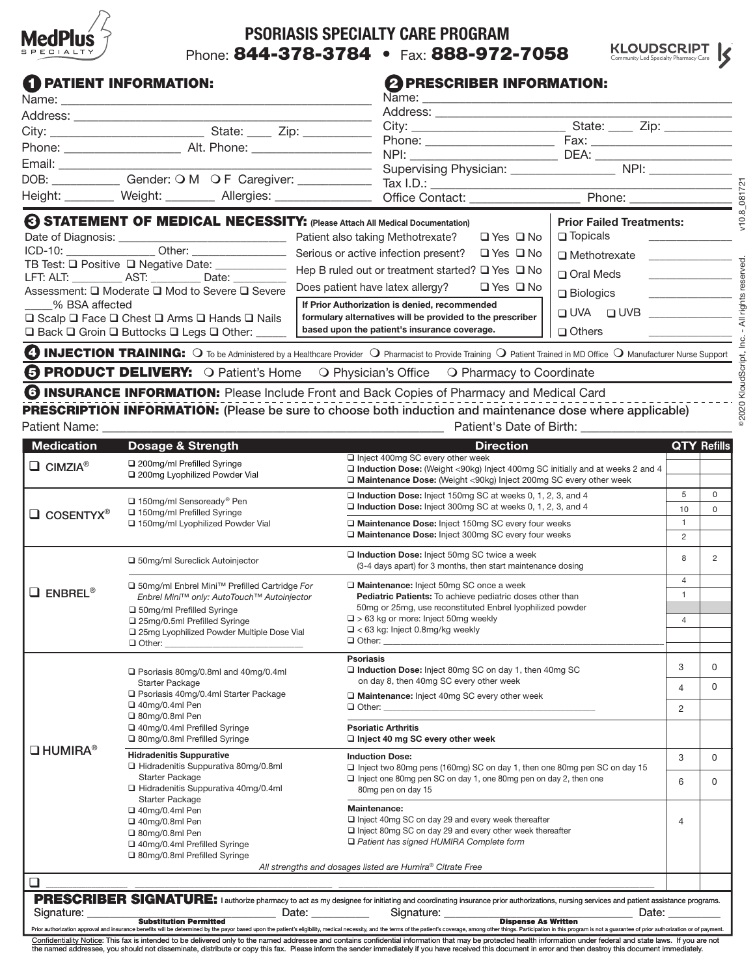

# **PSORIASIS SPECIALTY CARE PROGRAM** Phone: 844-378-3784 • Fax: 888-972-7058



### **1 PATIENT INFORMATION:**

#### **2 PRESCRIBER INFORMATION:**

|                                                                          |                                                                                    | Name: Name                                                 |                                 |                      |                                                                                                                   |  |  |
|--------------------------------------------------------------------------|------------------------------------------------------------------------------------|------------------------------------------------------------|---------------------------------|----------------------|-------------------------------------------------------------------------------------------------------------------|--|--|
|                                                                          |                                                                                    |                                                            | Address: ______________________ |                      |                                                                                                                   |  |  |
|                                                                          |                                                                                    |                                                            | Phone: _____________________    |                      |                                                                                                                   |  |  |
|                                                                          |                                                                                    |                                                            |                                 |                      | DEA: ________________________<br>Supervising Physician: __________________________ NPI: _________________________ |  |  |
|                                                                          | Height: Weight: Weight: Allergies: Microsoft Contact: Microsoft Contact:           |                                                            |                                 |                      |                                                                                                                   |  |  |
|                                                                          | <b>6 STATEMENT OF MEDICAL NECESSITY:</b> (Please Attach All Medical Documentation) |                                                            |                                 |                      | Phone: ________________<br><b>Prior Failed Treatments:</b>                                                        |  |  |
|                                                                          |                                                                                    |                                                            |                                 | $\Box$ Yes $\Box$ No | □ Topicals <u>__________</u>                                                                                      |  |  |
| TB Test: Q Positive Q Negative Date: ___________<br>LFT: ALT: AST: Date: |                                                                                    |                                                            |                                 | $\Box$ Yes $\Box$ No | □ Methotrexate                                                                                                    |  |  |
|                                                                          |                                                                                    | Hep B ruled out or treatment started? $\Box$ Yes $\Box$ No |                                 | □ Oral Meds          |                                                                                                                   |  |  |
|                                                                          | Assessment: $\Box$ Moderate $\Box$ Mod to Severe $\Box$ Severe                     | Does patient have latex allergy? $\Box$ Yes $\Box$ No      |                                 |                      | $\Box$ Dialagies                                                                                                  |  |  |

Assessment:  $\square$  Moderate  $\square$  Mod to Severe  $\square$  Severe \_\_\_\_\_% BSA affected  $\square$  Scalp  $\square$  Face  $\square$  Chest  $\square$  Arms  $\square$  Hands  $\square$  Nails  $\square$  Back  $\square$  Groin  $\square$  Buttocks  $\square$  Legs  $\square$  Other: **□** Biologics  $\Box$  UVA  $\Box$  UVB  $\Box$  Others **If Prior Authorization is denied, recommended formulary alternatives will be provided to the prescriber based upon the patient's insurance coverage.**

**4 INJECTION TRAINING:** O To be Administered by a Healthcare Provider O Pharmacist to Provide Training O Patient Trained in MD Office O Manufacturer Nurse Support **FIRODUCT DELIVERY:** O Patient's Home O Physician's Office O Pharmacy to Coordinate

**6 INSURANCE INFORMATION:** Please Include Front and Back Copies of Pharmacy and Medical Card PRESCRIPTION INFORMATION: (Please be sure to choose both induction and maintenance dose where applicable)

| Patient Name:                |                                                                                                                                                                                                                                                                 | Patient's Date of Birth:                                                                                                                                                                                                                                                                                                                                                                                                                               |                                                  |                |
|------------------------------|-----------------------------------------------------------------------------------------------------------------------------------------------------------------------------------------------------------------------------------------------------------------|--------------------------------------------------------------------------------------------------------------------------------------------------------------------------------------------------------------------------------------------------------------------------------------------------------------------------------------------------------------------------------------------------------------------------------------------------------|--------------------------------------------------|----------------|
| <b>Medication</b>            | <b>Dosage &amp; Strength</b>                                                                                                                                                                                                                                    | <b>Direction</b>                                                                                                                                                                                                                                                                                                                                                                                                                                       | <b>QTY Refills</b>                               |                |
| $\Box$ CIMZIA <sup>®</sup>   | 200mg/ml Prefilled Syringe<br>200mg Lyophilized Powder Vial                                                                                                                                                                                                     | Inject 400mg SC every other week<br>□ Induction Dose: (Weight <90kg) Inject 400mg SC initially and at weeks 2 and 4<br>□ Maintenance Dose: (Weight <90kg) Inject 200mg SC every other week                                                                                                                                                                                                                                                             |                                                  |                |
| $\Box$ COSENTYX <sup>®</sup> | □ 150mg/ml Sensoready <sup>®</sup> Pen<br>□ 150mg/ml Prefilled Syringe<br>□ 150mg/ml Lyophilized Powder Vial                                                                                                                                                    | Induction Dose: Inject 150mg SC at weeks 0, 1, 2, 3, and 4<br>□ Induction Dose: Inject 300mg SC at weeks 0, 1, 2, 3, and 4                                                                                                                                                                                                                                                                                                                             |                                                  | 0<br>$\Omega$  |
|                              |                                                                                                                                                                                                                                                                 | Maintenance Dose: Inject 150mg SC every four weeks<br>□ Maintenance Dose: Inject 300mg SC every four weeks                                                                                                                                                                                                                                                                                                                                             | $\mathbf{1}$<br>$\overline{c}$                   |                |
|                              | □ 50mg/ml Sureclick Autoinjector                                                                                                                                                                                                                                | Induction Dose: Inject 50mg SC twice a week<br>(3-4 days apart) for 3 months, then start maintenance dosing                                                                                                                                                                                                                                                                                                                                            | 8                                                | $\overline{2}$ |
| $\Box$ ENBREL®               | □ 50mg/ml Enbrel Mini <sup>™</sup> Prefilled Cartridge For<br>Enbrel Mini™ only: AutoTouch™ Autoinjector<br>□ 50mg/ml Prefilled Syringe<br>□ 25mg/0.5ml Prefilled Syringe<br>25mg Lyophilized Powder Multiple Dose Vial<br>$\Box$ Other:                        | □ Maintenance: Inject 50mg SC once a week<br>Pediatric Patients: To achieve pediatric doses other than<br>50mg or 25mg, use reconstituted Enbrel lyophilized powder<br>$\Box$ > 63 kg or more: Inject 50mg weekly<br>$\Box$ < 63 kg: Inject 0.8mg/kg weekly<br>□ Other: _______________                                                                                                                                                                | $\overline{4}$<br>$\mathbf{1}$<br>$\overline{4}$ |                |
|                              | Psoriasis 80mg/0.8ml and 40mg/0.4ml<br><b>Starter Package</b><br>□ Psoriasis 40mg/0.4ml Starter Package<br>$\Box$ 40mg/0.4ml Pen<br>□ 80mg/0.8ml Pen<br>40mg/0.4ml Prefilled Syringe<br>□ 80mg/0.8ml Prefilled Syringe                                          | <b>Psoriasis</b><br>$\Box$ Induction Dose: Inject 80mg SC on day 1, then 40mg SC<br>on day 8, then 40mg SC every other week<br>□ Maintenance: Inject 40mg SC every other week<br>$\Box$ Other: $\Box$                                                                                                                                                                                                                                                  |                                                  | $\Omega$       |
|                              |                                                                                                                                                                                                                                                                 |                                                                                                                                                                                                                                                                                                                                                                                                                                                        |                                                  | $\Omega$       |
|                              |                                                                                                                                                                                                                                                                 | <b>Psoriatic Arthritis</b><br>$\Box$ Inject 40 mg SC every other week                                                                                                                                                                                                                                                                                                                                                                                  |                                                  |                |
| $\Box$ HUMIRA®               | <b>Hidradenitis Suppurative</b><br>Hidradenitis Suppurativa 80mg/0.8ml                                                                                                                                                                                          | <b>Induction Dose:</b><br>□ Inject two 80mg pens (160mg) SC on day 1, then one 80mg pen SC on day 15<br>$\Box$ Inject one 80mg pen SC on day 1, one 80mg pen on day 2, then one<br>80mg pen on day 15                                                                                                                                                                                                                                                  |                                                  | 0              |
|                              | <b>Starter Package</b><br>□ Hidradenitis Suppurativa 40mg/0.4ml<br><b>Starter Package</b>                                                                                                                                                                       |                                                                                                                                                                                                                                                                                                                                                                                                                                                        |                                                  | 0              |
|                              | □ 40mg/0.4ml Pen<br>□ 40mg/0.8ml Pen<br>□ 80mg/0.8ml Pen<br>40mg/0.4ml Prefilled Syringe<br>□ 80mg/0.8ml Prefilled Syringe                                                                                                                                      | <b>Maintenance:</b><br>$\Box$ Inject 40mg SC on day 29 and every week thereafter<br>□ Inject 80mg SC on day 29 and every other week thereafter<br>$\Box$ Patient has signed HUMIRA Complete form                                                                                                                                                                                                                                                       | 4                                                |                |
|                              |                                                                                                                                                                                                                                                                 | All strengths and dosages listed are Humira® Citrate Free                                                                                                                                                                                                                                                                                                                                                                                              |                                                  |                |
| $\Box$                       |                                                                                                                                                                                                                                                                 |                                                                                                                                                                                                                                                                                                                                                                                                                                                        |                                                  |                |
| Signature: _                 | Date: the contract of the contract of the contract of the contract of the contract of the contract of the contract of the contract of the contract of the contract of the contract of the contract of the contract of the cont<br><b>Substitution Permitted</b> | <b>PRESCRIBER SIGNATURE:</b> I authorize pharmacy to act as my designee for initiating and coordinating insurance prior authorizations, nursing services and patient assistance programs.<br>Signature: ______<br>Date:<br><b>Dispense As Written</b>                                                                                                                                                                                                  |                                                  |                |
|                              |                                                                                                                                                                                                                                                                 | Prior authorization approval and insurance benefits will be determined by the payor based upon the patient's eligibility, medical necessity, and the terms of the patient's coverage, among other things. Participation in thi<br>Confidentiality Notice: This fax is intended to be delivered only to the named addressee and contains confidential information that may be protected health information under federal and state laws. If you are not |                                                  |                |

the named addressee, you should not disseminate, distribute or copy this fax. Please inform the sender immediately if you have received this document in error and then destroy this document immediately.